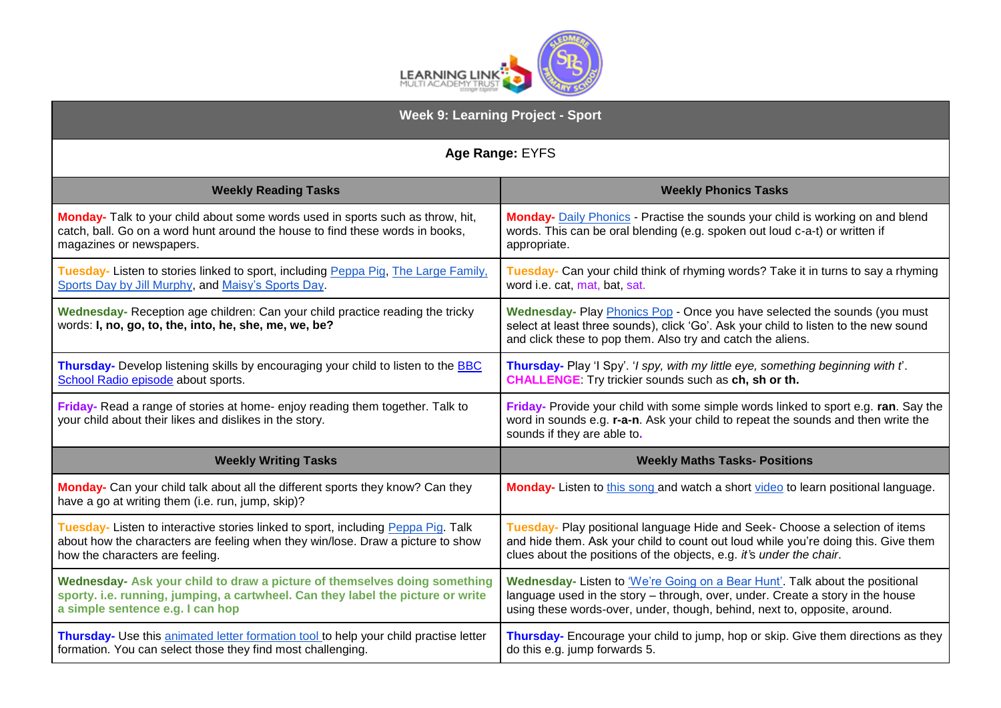

| <b>Week 9: Learning Project - Sport</b>                                                                                                                                                                 |                                                                                                                                                                                                                                             |
|---------------------------------------------------------------------------------------------------------------------------------------------------------------------------------------------------------|---------------------------------------------------------------------------------------------------------------------------------------------------------------------------------------------------------------------------------------------|
| Age Range: EYFS                                                                                                                                                                                         |                                                                                                                                                                                                                                             |
| <b>Weekly Reading Tasks</b>                                                                                                                                                                             | <b>Weekly Phonics Tasks</b>                                                                                                                                                                                                                 |
| Monday- Talk to your child about some words used in sports such as throw, hit,<br>catch, ball. Go on a word hunt around the house to find these words in books,<br>magazines or newspapers.             | <b>Monday-</b> Daily Phonics - Practise the sounds your child is working on and blend<br>words. This can be oral blending (e.g. spoken out loud c-a-t) or written if<br>appropriate.                                                        |
| Tuesday- Listen to stories linked to sport, including Peppa Pig, The Large Family,<br>Sports Day by Jill Murphy, and Maisy's Sports Day.                                                                | Tuesday- Can your child think of rhyming words? Take it in turns to say a rhyming<br>word i.e. cat, mat, bat, sat.                                                                                                                          |
| Wednesday- Reception age children: Can your child practice reading the tricky<br>words: I, no, go, to, the, into, he, she, me, we, be?                                                                  | Wednesday- Play Phonics Pop - Once you have selected the sounds (you must<br>select at least three sounds), click 'Go'. Ask your child to listen to the new sound<br>and click these to pop them. Also try and catch the aliens.            |
| Thursday- Develop listening skills by encouraging your child to listen to the <b>BBC</b><br>School Radio episode about sports.                                                                          | Thursday- Play 'I Spy'. 'I spy, with my little eye, something beginning with t'.<br><b>CHALLENGE</b> Try trickier sounds such as ch, sh or th.                                                                                              |
| Friday-Read a range of stories at home-enjoy reading them together. Talk to<br>your child about their likes and dislikes in the story.                                                                  | Friday- Provide your child with some simple words linked to sport e.g. ran. Say the<br>word in sounds e.g. r-a-n. Ask your child to repeat the sounds and then write the<br>sounds if they are able to.                                     |
| <b>Weekly Writing Tasks</b>                                                                                                                                                                             | <b>Weekly Maths Tasks- Positions</b>                                                                                                                                                                                                        |
| Monday- Can your child talk about all the different sports they know? Can they<br>have a go at writing them (i.e. run, jump, skip)?                                                                     | Monday- Listen to this song and watch a short video to learn positional language.                                                                                                                                                           |
| Tuesday- Listen to interactive stories linked to sport, including Peppa Pig. Talk<br>about how the characters are feeling when they win/lose. Draw a picture to show<br>how the characters are feeling. | Tuesday- Play positional language Hide and Seek- Choose a selection of items<br>and hide them. Ask your child to count out loud while you're doing this. Give them<br>clues about the positions of the objects, e.g. it's under the chair.  |
| Wednesday- Ask your child to draw a picture of themselves doing something<br>sporty. i.e. running, jumping, a cartwheel. Can they label the picture or write<br>a simple sentence e.g. I can hop        | Wednesday- Listen to 'We're Going on a Bear Hunt'. Talk about the positional<br>language used in the story - through, over, under. Create a story in the house<br>using these words-over, under, though, behind, next to, opposite, around. |
| Thursday- Use this animated letter formation tool to help your child practise letter<br>formation. You can select those they find most challenging.                                                     | Thursday- Encourage your child to jump, hop or skip. Give them directions as they<br>do this e.g. jump forwards 5.                                                                                                                          |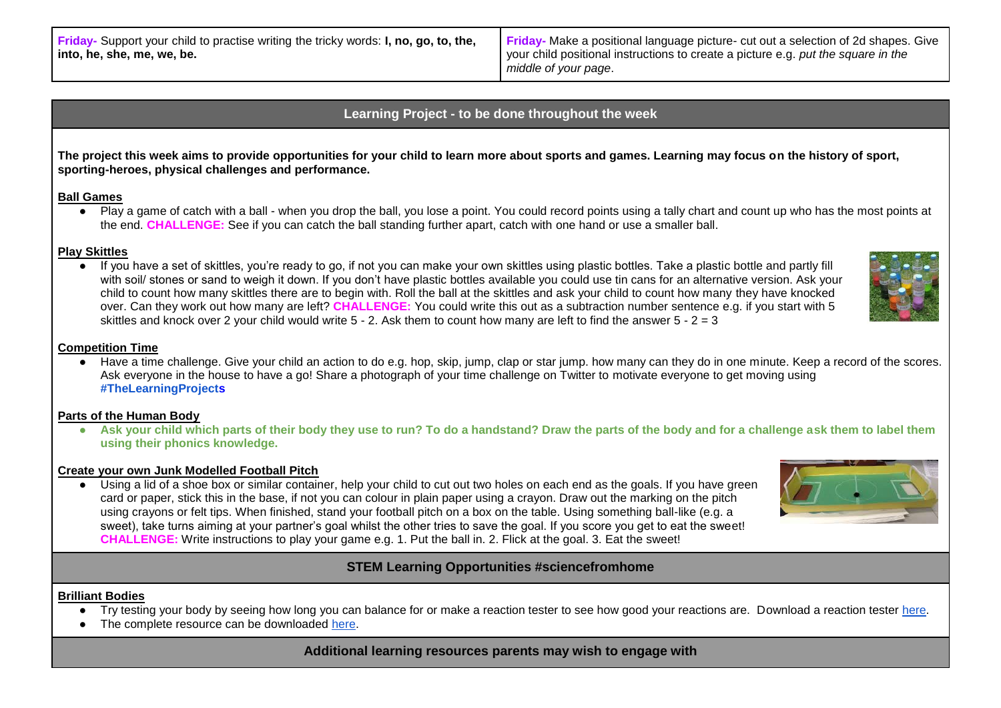**Friday-** Make a positional language picture- cut out a selection of 2d shapes. Give your child positional instructions to create a picture e.g. *put the square in the middle of your page*.

# **Learning Project - to be done throughout the week**

**The project this week aims to provide opportunities for your child to learn more about sports and games. Learning may focus on the history of sport, sporting-heroes, physical challenges and performance.** 

### **Ball Games**

• Play a game of catch with a ball - when you drop the ball, you lose a point. You could record points using a tally chart and count up who has the most points at the end. **CHALLENGE:** See if you can catch the ball standing further apart, catch with one hand or use a smaller ball.

### **Play Skittles**

● If you have a set of skittles, you're ready to go, if not you can make your own skittles using plastic bottles. Take a plastic bottle and partly fill with soil/ stones or sand to weigh it down. If you don't have plastic bottles available you could use tin cans for an alternative version. Ask your child to count how many skittles there are to begin with. Roll the ball at the skittles and ask your child to count how many they have knocked over. Can they work out how many are left? **CHALLENGE:** You could write this out as a subtraction number sentence e.g. if you start with 5 skittles and knock over 2 your child would write  $5 - 2$ . Ask them to count how many are left to find the answer  $5 - 2 = 3$ 

#### **Competition Time**

● Have a time challenge. Give your child an action to do e.g. hop, skip, jump, clap or star jump. how many can they do in one minute. Keep a record of the scores. Ask everyone in the house to have a go! Share a photograph of your time challenge on Twitter to motivate everyone to get moving using **[#TheLearningProjects](https://twitter.com/hashtag/thelearningproject)**

### **Parts of the Human Body**

• Ask your child which parts of their body they use to run? To do a handstand? Draw the parts of the body and for a challenge ask them to label them **using their phonics knowledge.**

### **Create your own Junk Modelled Football Pitch**

● Using a lid of a shoe box or similar container, help your child to cut out two holes on each end as the goals. If you have green card or paper, stick this in the base, if not you can colour in plain paper using a crayon. Draw out the marking on the pitch using crayons or felt tips. When finished, stand your football pitch on a box on the table. Using something ball-like (e.g. a sweet), take turns aiming at your partner's goal whilst the other tries to save the goal. If you score you get to eat the sweet! **CHALLENGE:** Write instructions to play your game e.g. 1. Put the ball in. 2. Flick at the goal. 3. Eat the sweet!

## **STEM Learning Opportunities #sciencefromhome**

### **Brilliant Bodies**

- Try testing your body by seeing how long you can balance for or make a reaction tester to see how good your reactions are. Download a reaction tester [here.](https://www.stem.org.uk/user/login?destination=system/files/elibrary-resources/legacy_files_migrated/29983-wellcome_trust_inthezoneathome.pdf)
- The complete resource can be downloaded [here.](https://www.stem.org.uk/resources/elibrary/resource/34276/brilliant-bodies-ages-4-5)

**Additional learning resources parents may wish to engage with**